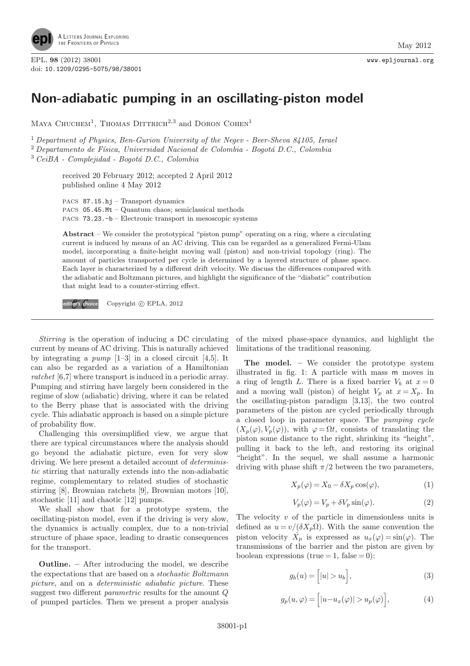

EPL, 98 (2012) 38001 www.epljournal.org doi: 10.1209/0295-5075/98/38001

## Non-adiabatic pumping in an oscillating-piston model

MAYA CHUCHEM<sup>1</sup>, THOMAS DITTRICH<sup>2,3</sup> and DORON COHEN<sup>1</sup>

<sup>1</sup> Department of Physics, Ben-Gurion University of the Negev - Beer-Sheva 84105, Israel  $2$  Departamento de Física, Universidad Nacional de Colombia - Bogotá D.C., Colombia

 $3 CeiBA - Complejidad - Bogotá D.C., Colombia$ 

received 20 February 2012; accepted 2 April 2012 published online 4 May 2012

PACS 87.15.hj – Transport dynamics PACS 05.45.Mt – Quantum chaos; semiclassical methods PACS 73.23.-b – Electronic transport in mesoscopic systems

Abstract – We consider the prototypical "piston pump" operating on a ring, where a circulating current is induced by means of an AC driving. This can be regarded as a generalized Fermi-Ulam model, incorporating a finite-height moving wall (piston) and non-trivial topology (ring). The amount of particles transported per cycle is determined by a layered structure of phase space. Each layer is characterized by a different drift velocity. We discuss the differences compared with the adiabatic and Boltzmann pictures, and highlight the significance of the "diabatic" contribution that might lead to a counter-stirring effect.

editor's choice Copyright C EPLA, 2012

Stirring is the operation of inducing a DC circulating current by means of AC driving. This is naturally achieved by integrating a  $pump$  [1–3] in a closed circuit [4,5]. It can also be regarded as a variation of a Hamiltonian ratchet [6,7] where transport is induced in a periodic array. Pumping and stirring have largely been considered in the regime of slow (adiabatic) driving, where it can be related to the Berry phase that is associated with the driving cycle. This adiabatic approach is based on a simple picture of probability flow.

Challenging this oversimplified view, we argue that there are typical circumstances where the analysis should go beyond the adiabatic picture, even for very slow driving. We here present a detailed account of deterministic stirring that naturally extends into the non-adiabatic regime, complementary to related studies of stochastic stirring [8], Brownian ratchets [9], Brownian motors [10], stochastic [11] and chaotic [12] pumps.

We shall show that for a prototype system, the oscillating-piston model, even if the driving is very slow, the dynamics is actually complex, due to a non-trivial structure of phase space, leading to drastic consequences for the transport.

Outline. – After introducing the model, we describe the expectations that are based on a stochastic Boltzmann picture, and on a deterministic adiabatic picture. These suggest two different parametric results for the amount Q of pumped particles. Then we present a proper analysis of the mixed phase-space dynamics, and highlight the limitations of the traditional reasoning.

The model. – We consider the prototype system illustrated in fig. 1: A particle with mass m moves in a ring of length L. There is a fixed barrier  $V_b$  at  $x = 0$ and a moving wall (piston) of height  $V_p$  at  $x = X_p$ . In the oscillating-piston paradigm [3,13], the two control parameters of the piston are cycled periodically through a closed loop in parameter space. The pumping cycle  $(X_p(\varphi), V_p(\varphi))$ , with  $\varphi = \Omega t$ , consists of translating the piston some distance to the right, shrinking its "height", pulling it back to the left, and restoring its original "height". In the sequel, we shall assume a harmonic driving with phase shift  $\pi/2$  between the two parameters,

$$
X_p(\varphi) = X_0 - \delta X_p \cos(\varphi),\tag{1}
$$

$$
V_p(\varphi) = V_p + \delta V_p \sin(\varphi). \tag{2}
$$

The velocity  $v$  of the particle in dimensionless units is defined as  $u = v/(\delta X_p \Omega)$ . With the same convention the piston velocity  $\dot{X}_p$  is expressed as  $u_x(\varphi) = \sin(\varphi)$ . The transmissions of the barrier and the piston are given by boolean expressions (true  $= 1$ , false  $= 0$ ):

$$
g_b(u) = [ |u| > u_b ], \qquad (3)
$$

$$
g_p(u,\varphi) = \left[ |u - u_x(\varphi)| > u_p(\varphi) \right],\tag{4}
$$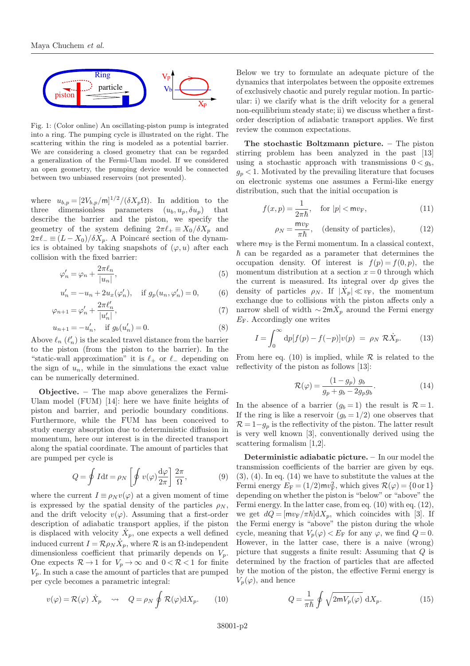

Fig. 1: (Color online) An oscillating-piston pump is integrated into a ring. The pumping cycle is illustrated on the right. The scattering within the ring is modeled as a potential barrier. We are considering a closed geometry that can be regarded a generalization of the Fermi-Ulam model. If we considered an open geometry, the pumping device would be connected between two unbiased reservoirs (not presented).

where  $u_{b,p} = [2V_{b,p}/m]^{1/2}/(\delta X_p \Omega)$ . In addition to the three dimensionless parameters  $(u_b, u_p, \delta u_p)$  that describe the barrier and the piston, we specify the geometry of the system defining  $2\pi\ell_+ \equiv X_0/\delta X_p$  and  $2\pi\ell_{-} \equiv (L - X_0)/\delta X_p$ . A Poincaré section of the dynamics is obtained by taking snapshots of  $(\varphi, u)$  after each collision with the fixed barrier:

$$
\varphi_n' = \varphi_n + \frac{2\pi\ell_n}{|u_n|},\tag{5}
$$

$$
u'_{n} = -u_{n} + 2u_{x}(\varphi'_{n}), \quad \text{if } g_{p}(u_{n}, \varphi'_{n}) = 0, \tag{6}
$$

$$
\varphi_{n+1} = \varphi_n' + \frac{2\pi \ell_n'}{|u_n'|},\tag{7}
$$

$$
u_{n+1} = -u'_n, \quad \text{if } g_b(u'_n) = 0. \tag{8}
$$

Above  $\ell_n$  ( $\ell'_n$ ) is the scaled travel distance from the barrier to the piston (from the piston to the barrier). In the "static-wall approximation" it is  $\ell_+$  or  $\ell_-$  depending on the sign of  $u_n$ , while in the simulations the exact value can be numerically determined.

Objective. – The map above generalizes the Fermi-Ulam model (FUM) [14]: here we have finite heights of piston and barrier, and periodic boundary conditions. Furthermore, while the FUM has been conceived to study energy absorption due to deterministic diffusion in momentum, here our interest is in the directed transport along the spatial coordinate. The amount of particles that are pumped per cycle is

$$
Q = \oint I dt = \rho_N \left[ \oint v(\varphi) \frac{d\varphi}{2\pi} \right] \frac{2\pi}{\Omega},
$$
 (9)

where the current  $I \equiv \rho_N v(\varphi)$  at a given moment of time is expressed by the spatial density of the particles  $\rho_N$ , and the drift velocity  $v(\varphi)$ . Assuming that a first-order description of adiabatic transport applies, if the piston is displaced with velocity  $\dot{X}_p$ , one expects a well defined induced current  $I = \mathcal{R} \rho_N \dot{X}_p$ , where  $\mathcal R$  is an  $\Omega$ -independent dimensionless coefficient that primarily depends on  $V_p$ . One expects  $\mathcal{R} \to 1$  for  $V_p \to \infty$  and  $0 < \mathcal{R} < 1$  for finite  $V_p$ . In such a case the amount of particles that are pumped per cycle becomes a parametric integral:

$$
v(\varphi) = \mathcal{R}(\varphi) \dot{X}_p \quad \rightsquigarrow \quad Q = \rho_N \oint \mathcal{R}(\varphi) dX_p. \tag{10}
$$

Below we try to formulate an adequate picture of the dynamics that interpolates between the opposite extremes of exclusively chaotic and purely regular motion. In particular: i) we clarify what is the drift velocity for a general non-equilibrium steady state; ii) we discuss whether a firstorder description of adiabatic transport applies. We first review the common expectations.

The stochastic Boltzmann picture. – The piston stirring problem has been analyzed in the past [13] using a stochastic approach with transmissions  $0 < q_b$ ,  $g_p < 1$ . Motivated by the prevailing literature that focuses on electronic systems one assumes a Fermi-like energy distribution, such that the initial occupation is

$$
f(x,p) = \frac{1}{2\pi\hbar}, \quad \text{for } |p| < \text{m}v_{\text{F}},\tag{11}
$$

$$
\rho_N = \frac{m v_F}{\pi \hbar}, \quad \text{(density of particles)}, \tag{12}
$$

where  $mv_F$  is the Fermi momentum. In a classical context,  $\hbar$  can be regarded as a parameter that determines the occupation density. Of interest is  $f(p) = f(0, p)$ , the momentum distribution at a section  $x = 0$  through which the current is measured. Its integral over dp gives the density of particles  $\rho_N$ . If  $|\dot{X}_p| \ll v_F$ , the momentum exchange due to collisions with the piston affects only a narrow shell of width  $\sim 2$ m $\dot{X}_p$  around the Fermi energy  $E_F$ . Accordingly one writes

$$
I = \int_0^\infty dp[f(p) - f(-p)]v(p) = \rho_N \mathcal{R}\dot{X}_p.
$$
 (13)

From here eq. (10) is implied, while  $\mathcal R$  is related to the reflectivity of the piston as follows [13]:

$$
\mathcal{R}(\varphi) = \frac{(1 - g_p) g_b}{g_p + g_b - 2g_p g_b}.\tag{14}
$$

In the absence of a barrier  $(q_b = 1)$  the result is  $\mathcal{R} = 1$ . If the ring is like a reservoir  $(g_b = 1/2)$  one observes that  $\mathcal{R} = 1 - g_p$  is the reflectivity of the piston. The latter result is very well known [3], conventionally derived using the scattering formalism [1,2].

Deterministic adiabatic picture. – In our model the transmission coefficients of the barrier are given by eqs.  $(3), (4)$ . In eq.  $(14)$  we have to substitute the values at the Fermi energy  $E_F = (1/2) \text{m} v_F^2$ , which gives  $\mathcal{R}(\varphi) = \{0 \text{ or } 1\}$ depending on whether the piston is "below" or "above" the Fermi energy. In the latter case, from eq. (10) with eq. (12), we get  $dQ = [mv_F/\pi\hbar]dX_p$ , which coincides with [3]. If the Fermi energy is "above" the piston during the whole cycle, meaning that  $V_p(\varphi) < E_F$  for any  $\varphi$ , we find  $Q = 0$ . However, in the latter case, there is a naive (wrong) picture that suggests a finite result: Assuming that Q is determined by the fraction of particles that are affected by the motion of the piston, the effective Fermi energy is  $V_p(\varphi)$ , and hence

$$
Q = \frac{1}{\pi \hbar} \oint \sqrt{2mV_p(\varphi)} dX_p.
$$
 (15)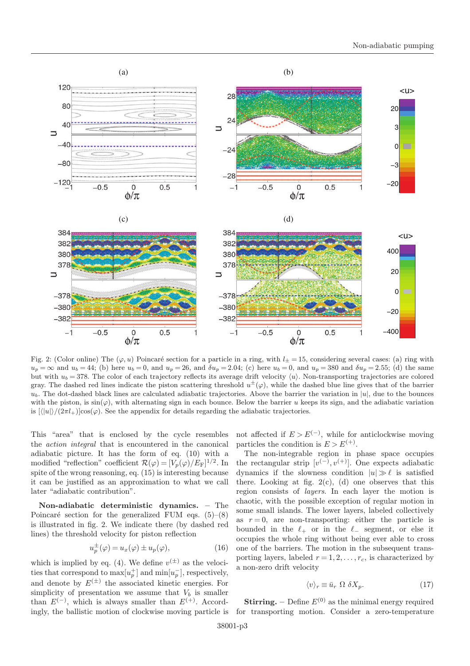

Fig. 2: (Color online) The  $(\varphi, u)$  Poincaré section for a particle in a ring, with  $l_{\pm} = 15$ , considering several cases: (a) ring with  $u_p = \infty$  and  $u_b = 44$ ; (b) here  $u_b = 0$ , and  $u_p = 26$ , and  $\delta u_p = 2.04$ ; (c) here  $u_b = 0$ , and  $u_p = 380$  and  $\delta u_p = 2.55$ ; (d) the same but with  $u_b = 378$ . The color of each trajectory reflects its average drift velocity  $\langle u \rangle$ . Non-transporting trajectories are colored gray. The dashed red lines indicate the piston scattering threshold  $u^{\pm}(\varphi)$ , while the dashed blue line gives that of the barrier  $u<sub>b</sub>$ . The dot-dashed black lines are calculated adiabatic trajectories. Above the barrier the variation in  $|u|$ , due to the bounces with the piston, is  $\sin(\varphi)$ , with alternating sign in each bounce. Below the barrier u keeps its sign, and the adiabatic variation is  $\frac{|\langle |u| \rangle}{2\pi l_+}\cos(\varphi)$ . See the appendix for details regarding the adiabatic trajectories.

This "area" that is enclosed by the cycle resembles the action integral that is encountered in the canonical adiabatic picture. It has the form of eq. (10) with a modified "reflection" coefficient  $\mathcal{R}(\varphi) = [V_p(\varphi)/E_F]^{1/2}$ . In spite of the wrong reasoning, eq. (15) is interesting because it can be justified as an approximation to what we call later "adiabatic contribution".

Non-adiabatic deterministic dynamics. – The Poincaré section for the generalized FUM eqs.  $(5)-(8)$ is illustrated in fig. 2. We indicate there (by dashed red lines) the threshold velocity for piston reflection

$$
u_p^{\pm}(\varphi) = u_x(\varphi) \pm u_p(\varphi), \qquad (16)
$$

which is implied by eq. (4). We define  $v^{(\pm)}$  as the velocities that correspond to  $\max[u_p^+]$  and  $\min[u_p^-]$ , respectively, and denote by  $E^{(\pm)}$  the associated kinetic energies. For simplicity of presentation we assume that  $V_b$  is smaller than  $E^{(-)}$ , which is always smaller than  $E^{(+)}$ . Accordingly, the ballistic motion of clockwise moving particle is not affected if  $E > E<sup>(−)</sup>$ , while for anticlockwise moving particles the condition is  $E > E^{(+)}$ .

The non-integrable region in phase space occupies the rectangular strip  $[v^{(-)}, v^{(+)}]$ . One expects adiabatic dynamics if the slowness condition  $|u| \gg \ell$  is satisfied there. Looking at fig.  $2(c)$ , (d) one observes that this region consists of layers. In each layer the motion is chaotic, with the possible exception of regular motion in some small islands. The lower layers, labeled collectively as  $r = 0$ , are non-transporting: either the particle is bounded in the  $\ell_+$  or in the  $\ell_-$  segment, or else it occupies the whole ring without being ever able to cross one of the barriers. The motion in the subsequent transporting layers, labeled  $r = 1, 2, \ldots, r_c$ , is characterized by a non-zero drift velocity

$$
\langle v \rangle_r \equiv \bar{u}_r \ \Omega \ \delta X_p. \tag{17}
$$

**Stirring.** – Define  $E^{(0)}$  as the minimal energy required for transporting motion. Consider a zero-temperature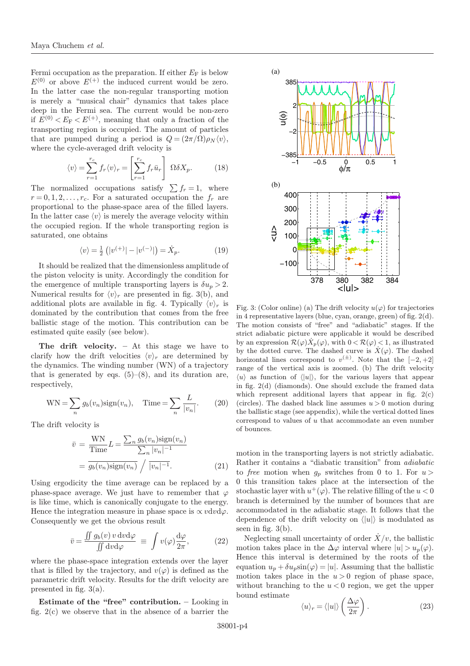Fermi occupation as the preparation. If either  $E_F$  is below  $E^{(0)}$  or above  $E^{(+)}$  the induced current would be zero. In the latter case the non-regular transporting motion is merely a "musical chair" dynamics that takes place deep in the Fermi sea. The current would be non-zero if  $E^{(0)} < E_F < E^{(+)}$ , meaning that only a fraction of the transporting region is occupied. The amount of particles that are pumped during a period is  $Q = (2\pi/\Omega)\rho_N \langle v \rangle$ , where the cycle-averaged drift velocity is

$$
\langle v \rangle = \sum_{r=1}^{r_c} f_r \langle v \rangle_r = \left[ \sum_{r=1}^{r_c} f_r \bar{u}_r \right] \ \Omega \delta X_p. \tag{18}
$$

The normalized occupations satisfy  $\sum f_r = 1$ , where  $r = 0, 1, 2, \ldots, r_c$ . For a saturated occupation the  $f_r$  are proportional to the phase-space area of the filled layers. In the latter case  $\langle v \rangle$  is merely the average velocity within the occupied region. If the whole transporting region is saturated, one obtains

$$
\langle v \rangle = \frac{1}{2} \left( |v^{(+)}| - |v^{(-)}| \right) = \dot{X}_p. \tag{19}
$$

It should be realized that the dimensionless amplitude of the piston velocity is unity. Accordingly the condition for the emergence of multiple transporting layers is  $\delta u_p > 2$ . Numerical results for  $\langle v \rangle_r$  are presented in fig. 3(b), and additional plots are available in fig. 4. Typically  $\langle v \rangle_r$  is dominated by the contribution that comes from the free ballistic stage of the motion. This contribution can be estimated quite easily (see below).

The drift velocity.  $-$  At this stage we have to clarify how the drift velocities  $\langle v \rangle_r$  are determined by the dynamics. The winding number (WN) of a trajectory that is generated by eqs.  $(5)-(8)$ , and its duration are, respectively,

$$
WN = \sum_{n} g_b(v_n) sign(v_n), \quad Time = \sum_{n} \frac{L}{|v_n|}.
$$
 (20)

The drift velocity is

$$
\bar{v} = \frac{\text{WN}}{\text{Time}} L = \frac{\sum_{n} g_b(v_n) \text{sign}(v_n)}{\sum_{n} |v_n|^{-1}}
$$

$$
= \overline{g_b(v_n) \text{sign}(v_n)} / \overline{|v_n|^{-1}}.
$$
(21)

Using ergodicity the time average can be replaced by a phase-space average. We just have to remember that  $\varphi$ is like time, which is canonically conjugate to the energy. Hence the integration measure in phase space is  $\propto$  vdvd $\varphi$ . Consequently we get the obvious result

$$
\bar{v} = \frac{\iint g_b(v) \, v \, \mathrm{d}v \mathrm{d}\varphi}{\iint \mathrm{d}v \mathrm{d}\varphi} \equiv \int v(\varphi) \frac{\mathrm{d}\varphi}{2\pi},\tag{22}
$$

where the phase-space integration extends over the layer that is filled by the trajectory, and  $v(\varphi)$  is defined as the parametric drift velocity. Results for the drift velocity are presented in fig. 3(a).

Estimate of the "free" contribution. – Looking in fig. 2(c) we observe that in the absence of a barrier the



Fig. 3: (Color online) (a) The drift velocity  $u(\varphi)$  for trajectories in 4 representative layers (blue, cyan, orange, green) of fig. 2(d). The motion consists of "free" and "adiabatic" stages. If the strict adiabatic picture were applicable it would be described by an expression  $\mathcal{R}(\varphi) \dot{X}_p(\varphi)$ , with  $0 < \mathcal{R}(\varphi) < 1$ , as illustrated by the dotted curve. The dashed curve is  $\dot{X}(\varphi)$ . The dashed horizontal lines correspond to  $v^{(\pm)}$ . Note that the  $[-2, +2]$ range of the vertical axis is zoomed. (b) The drift velocity  $\langle u \rangle$  as function of  $\langle |u| \rangle$ , for the various layers that appear in fig. 2(d) (diamonds). One should exclude the framed data which represent additional layers that appear in fig.  $2(c)$ (circles). The dashed black line assumes  $u > 0$  motion during the ballistic stage (see appendix), while the vertical dotted lines correspond to values of u that accommodate an even number of bounces.

motion in the transporting layers is not strictly adiabatic. Rather it contains a "diabatic transition" from adiabatic to free motion when  $q_n$  switches from 0 to 1. For  $u >$ 0 this transition takes place at the intersection of the stochastic layer with  $u^+(\varphi)$ . The relative filling of the  $u < 0$ branch is determined by the number of bounces that are accommodated in the adiabatic stage. It follows that the dependence of the drift velocity on  $\langle |u| \rangle$  is modulated as seen in fig.  $3(b)$ .

Neglecting small uncertainty of order  $\dot{X}/v$ , the ballistic motion takes place in the  $\Delta\varphi$  interval where  $|u| > u_p(\varphi)$ . Hence this interval is determined by the roots of the equation  $u_p + \delta u_p \sin(\varphi) = |u|$ . Assuming that the ballistic motion takes place in the  $u > 0$  region of phase space, without branching to the  $u < 0$  region, we get the upper bound estimate

$$
\langle u \rangle_r = \langle |u| \rangle \left( \frac{\Delta \varphi}{2\pi} \right). \tag{23}
$$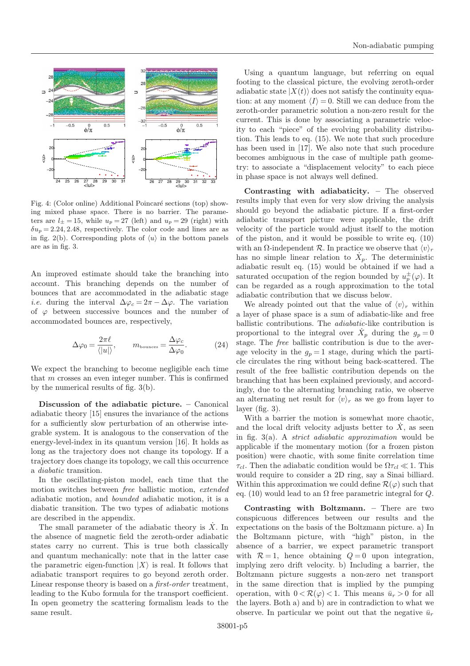

Fig. 4: (Color online) Additional Poincaré sections (top) showing mixed phase space. There is no barrier. The parameters are  $l_{\pm} = 15$ , while  $u_p = 27$  (left) and  $u_p = 29$  (right) with  $\delta u_p = 2.24, 2.48$ , respectively. The color code and lines are as in fig. 2(b). Corresponding plots of  $\langle u \rangle$  in the bottom panels are as in fig. 3.

An improved estimate should take the branching into account. This branching depends on the number of bounces that are accommodated in the adiabatic stage *i.e.* during the interval  $\Delta \varphi_c = 2\pi - \Delta \varphi$ . The variation of  $\varphi$  between successive bounces and the number of accommodated bounces are, respectively,

$$
\Delta \varphi_0 = \frac{2\pi \ell}{\langle |u| \rangle}, \qquad m_{\text{bounces}} = \frac{\Delta \varphi_c}{\Delta \varphi_0}.
$$
 (24)

We expect the branching to become negligible each time that m crosses an even integer number. This is confirmed by the numerical results of fig. 3(b).

Discussion of the adiabatic picture. – Canonical adiabatic theory [15] ensures the invariance of the actions for a sufficiently slow perturbation of an otherwise integrable system. It is analogous to the conservation of the energy-level-index in its quantum version [16]. It holds as long as the trajectory does not change its topology. If a trajectory does change its topology, we call this occurrence a diabatic transition.

In the oscillating-piston model, each time that the motion switches between free ballistic motion, extended adiabatic motion, and bounded adiabatic motion, it is a diabatic transition. The two types of adiabatic motions are described in the appendix.

The small parameter of the adiabatic theory is  $\dot{X}$ . In the absence of magnetic field the zeroth-order adiabatic states carry no current. This is true both classically and quantum mechanically: note that in the latter case the parametric eigen-function  $|X\rangle$  is real. It follows that adiabatic transport requires to go beyond zeroth order. Linear response theory is based on a first-order treatment, leading to the Kubo formula for the transport coefficient. In open geometry the scattering formalism leads to the same result.

Using a quantum language, but referring on equal footing to the classical picture, the evolving zeroth-order adiabatic state  $|X(t)\rangle$  does not satisfy the continuity equation: at any moment  $\langle I \rangle = 0$ . Still we can deduce from the zeroth-order parametric solution a non-zero result for the current. This is done by associating a parametric velocity to each "piece" of the evolving probability distribution. This leads to eq. (15). We note that such procedure has been used in [17]. We also note that such procedure becomes ambiguous in the case of multiple path geometry: to associate a "displacement velocity" to each piece in phase space is not always well defined.

Contrasting with adiabaticity. – The observed results imply that even for very slow driving the analysis should go beyond the adiabatic picture. If a first-order adiabatic transport picture were applicable, the drift velocity of the particle would adjust itself to the motion of the piston, and it would be possible to write eq. (10) with an  $\Omega$ -independent  $\mathcal R$ . In practice we observe that  $\langle v \rangle_r$ has no simple linear relation to  $\dot{X}_p$ . The deterministic adiabatic result eq. (15) would be obtained if we had a saturated occupation of the region bounded by  $u_p^{\pm}(\varphi)$ . It can be regarded as a rough approximation to the total adiabatic contribution that we discuss below.

We already pointed out that the value of  $\langle v \rangle_r$  within a layer of phase space is a sum of adiabatic-like and free ballistic contributions. The adiabatic-like contribution is proportional to the integral over  $\dot{X}_p$  during the  $g_p = 0$ stage. The free ballistic contribution is due to the average velocity in the  $g_p = 1$  stage, during which the particle circulates the ring without being back-scattered. The result of the free ballistic contribution depends on the branching that has been explained previously, and accordingly, due to the alternating branching ratio, we observe an alternating net result for  $\langle v \rangle_r$  as we go from layer to layer (fig. 3).

With a barrier the motion is somewhat more chaotic, and the local drift velocity adjusts better to  $\dot{X}$ , as seen in fig.  $3(a)$ . A *strict adiabatic approximation* would be applicable if the momentary motion (for a frozen piston position) were chaotic, with some finite correlation time  $\tau_{cl}$ . Then the adiabatic condition would be  $\Omega \tau_{cl} \ll 1$ . This would require to consider a 2D ring, say a Sinai billiard. Within this approximation we could define  $\mathcal{R}(\varphi)$  such that eq. (10) would lead to an  $\Omega$  free parametric integral for  $Q$ .

Contrasting with Boltzmann. – There are two conspicuous differences between our results and the expectations on the basis of the Boltzmann picture. a) In the Boltzmann picture, with "high" piston, in the absence of a barrier, we expect parametric transport with  $R=1$ , hence obtaining  $Q=0$  upon integration, implying zero drift velocity. b) Including a barrier, the Boltzmann picture suggests a non-zero net transport in the same direction that is implied by the pumping operation, with  $0 < \mathcal{R}(\varphi) < 1$ . This means  $\bar{u}_r > 0$  for all the layers. Both a) and b) are in contradiction to what we observe. In particular we point out that the negative  $\bar{u}_r$